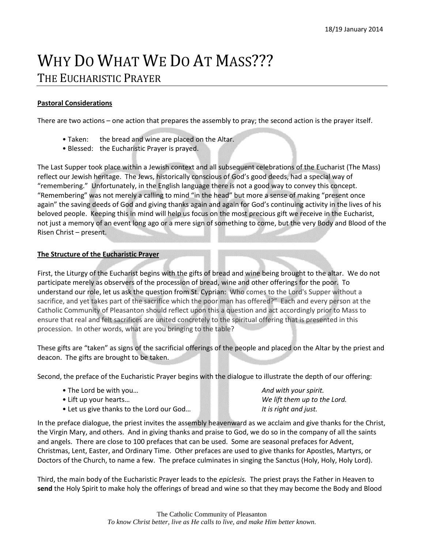## WHY DO WHAT WE DO AT MASS??? THE EUCHARISTIC PRAYER

## **Pastoral Considerations**

There are two actions – one action that prepares the assembly to pray; the second action is the prayer itself.

- Taken: the bread and wine are placed on the Altar.
- Blessed: the Eucharistic Prayer is prayed.

The Last Supper took place within a Jewish context and all subsequent celebrations of the Eucharist (The Mass) reflect our Jewish heritage. The Jews, historically conscious of God's good deeds, had a special way of "remembering." Unfortunately, in the English language there is not a good way to convey this concept. "Remembering" was not merely a calling to mind "in the head" but more a sense of making "present once again" the saving deeds of God and giving thanks again and again for God's continuing activity in the lives of his beloved people. Keeping this in mind will help us focus on the most precious gift we receive in the Eucharist, not just a memory of an event long ago or a mere sign of something to come, but the very Body and Blood of the Risen Christ – present.

## **The Structure of the Eucharistic Prayer**

First, the Liturgy of the Eucharist begins with the gifts of bread and wine being brought to the altar. We do not participate merely as observers of the procession of bread, wine and other offerings for the poor. To understand our role, let us ask the question from St. Cyprian: Who comes to the Lord's Supper without a sacrifice, and yet takes part of the sacrifice which the poor man has offered?" Each and every person at the Catholic Community of Pleasanton should reflect upon this a question and act accordingly prior to Mass to ensure that real and felt sacrifices are united concretely to the spiritual offering that is presented in this procession. In other words, what are you bringing to the table?

These gifts are "taken" as signs of the sacrificial offerings of the people and placed on the Altar by the priest and deacon. The gifts are brought to be taken.

Second, the preface of the Eucharistic Prayer begins with the dialogue to illustrate the depth of our offering:

- The Lord be with you… *And with your spirit.*
- Lift up your hearts… *We lift them up to the Lord.*
- Let us give thanks to the Lord our God… *It is right and just.*

In the preface dialogue, the priest invites the assembly heavenward as we acclaim and give thanks for the Christ, the Virgin Mary, and others. And in giving thanks and praise to God, we do so in the company of all the saints and angels. There are close to 100 prefaces that can be used. Some are seasonal prefaces for Advent, Christmas, Lent, Easter, and Ordinary Time. Other prefaces are used to give thanks for Apostles, Martyrs, or Doctors of the Church, to name a few. The preface culminates in singing the Sanctus (Holy, Holy, Holy Lord).

Third, the main body of the Eucharistic Prayer leads to the *epiclesis.* The priest prays the Father in Heaven to **send** the Holy Spirit to make holy the offerings of bread and wine so that they may become the Body and Blood